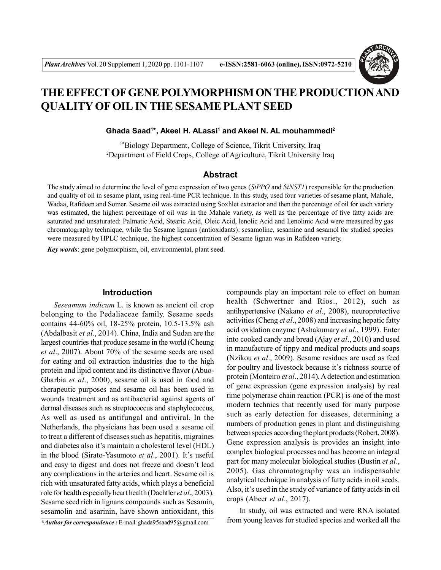

# **THE EFFECT OF GENE POLYMORPHISM ON THE PRODUCTION AND QUALITY OF OIL IN THE SESAME PLANT SEED**

**Ghada Saad<sup>1</sup> \*, Akeel H. ALassi<sup>1</sup> and Akeel N. AL mouhammedi<sup>2</sup>**

1\*Biology Department, College of Science, Tikrit University, Iraq <sup>2</sup>Department of Field Crops, College of Agriculture, Tikrit University Iraq

# **Abstract**

The study aimed to determine the level of gene expression of two genes (*SiPPO* and *SiNST1*) responsible for the production and quality of oil in sesame plant, using real-time PCR technique. In this study, used four varieties of sesame plant, Mahale, Wadaa, Rafideen and Somer. Sesame oil was extracted using Soxhlet extractor and then the percentage of oil for each variety was estimated, the highest percentage of oil was in the Mahale variety, as well as the percentage of five fatty acids are saturated and unsaturated: Palmatic Acid, Stearic Acid, Oleic Acid, lenolic Acid and Lenolinic Acid were measured by gas chromatography technique, while the Sesame lignans (antioxidants): sesamoline, sesamine and sesamol for studied species were measured by HPLC technique, the highest concentration of Sesame lignan was in Rafideen variety.

*Key words*: gene polymorphism, oil, environmental, plant seed.

## **Introduction**

*Seseamum indicum* L. is known as ancient oil crop belonging to the Pedaliaceae family. Sesame seeds contains 44-60% oil, 18-25% protein, 10.5-13.5% ash (Abdalbasit *et al*., 2014). China, India and Sudan are the largest countries that produce sesame in the world (Cheung *et al*., 2007). About 70% of the sesame seeds are used for eating and oil extraction industries due to the high protein and lipid content and its distinctive flavor (Abuo-Gharbia *et al*., 2000), sesame oil is used in food and therapeutic purposes and sesame oil has been used in wounds treatment and as antibacterial against agents of dermal diseases such as streptococcus and staphylococcus, As well as used as antifungal and antiviral. In the Netherlands, the physicians has been used a sesame oil to treat a different of diseases such as hepatitis, migraines and diabetes also it's maintain a cholesterol level (HDL) in the blood (Sirato-Yasumoto *et al*., 2001). It's useful and easy to digest and does not freeze and doesn't lead any complications in the arteries and heart. Sesame oil is rich with unsaturated fatty acids, which plays a beneficial role for health especially heart health (Dachtler *et al*., 2003). Sesame seed rich in lignans compounds such as Sesamin, sesamolin and asarinin, have shown antioxidant, this compounds play an important role to effect on human health (Schwertner and Rios., 2012), such as antihypertensive (Nakano *et al*., 2008), neuroprotective activities (Cheng *et al*., 2008) and increasing hepatic fatty acid oxidation enzyme (Ashakumary *et al*., 1999). Enter into cooked candy and bread (Ajay *et al*., 2010) and used in manufacture of tippy and medical products and soaps (Nzikou *et al*., 2009). Sesame residues are used as feed for poultry and livestock because it's richness source of protein (Monteiro *et al*., 2014). A detection and estimation of gene expression (gene expression analysis) by real time polymerase chain reaction (PCR) is one of the most modern technics that recently used for many purpose such as early detection for diseases, determining a numbers of production genes in plant and distinguishing between species according the plant products (Robert, 2008). Gene expression analysis is provides an insight into complex biological processes and has become an integral part for many molecular biological studies (Bustin *et al*., 2005). Gas chromatography was an indispensable analytical technique in analysis of fatty acids in oil seeds. Also, it's used in the study of variance of fatty acids in oil crops (Abeer *et al*., 2017).

In study, oil was extracted and were RNA isolated from young leaves for studied species and worked all the

*<sup>\*</sup>Author for correspondence :* E-mail: ghada95saad95@gmail.com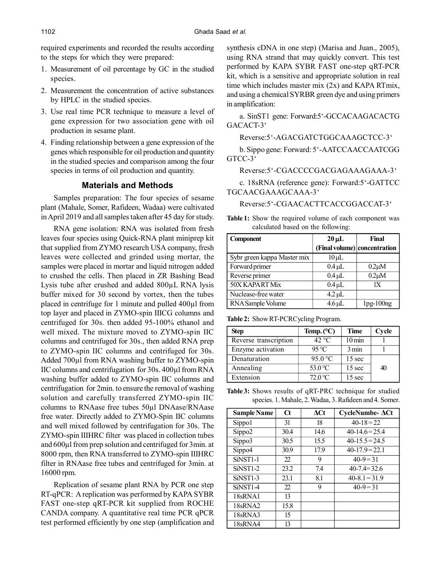required experiments and recorded the results according to the steps for which they were prepared:

- 1. Measurement of oil percentage by GC in the studied species.
- 2. Measurement the concentration of active substances by HPLC in the studied species.
- 3. Use real time PCR technique to measure a level of gene expression for two association gene with oil production in sesame plant.
- 4. Finding relationship between a gene expression of the genes which responsible for oil production and quantity in the studied species and comparison among the four species in terms of oil production and quantity.

# **Materials and Methods**

Samples preparation: The four species of sesame plant (Mahale, Somer, Rafideen, Wadaa) were cultivated in April 2019 and all samples taken after 45 day for study.

RNA gene isolation: RNA was isolated from fresh leaves four species using Quick-RNA plant miniprep kit that supplied from ZYMO research USA company, fresh leaves were collected and grinded using mortar, the samples were placed in mortar and liquid nitrogen added to crushed the cells. Then placed in ZR Bashing Bead Lysis tube after crushed and added 800µL RNA lysis buffer mixed for 30 second by vortex, then the tubes placed in centrifuge for 1 minute and pulled 400µl from top layer and placed in ZYMO-spin IIICG columns and centrifuged for 30s. then added 95-100% ethanol and well mixed. The mixture moved to ZYMO-spin IIC columns and centrifuged for 30s., then added RNA prep to ZYMO-spin IIC columns and centrifuged for 30s. Added 700µl from RNA washing buffer to ZYMO-spin IIC columns and centrifugation for 30s. 400µl from RNA washing buffer added to ZYMO-spin IIC columns and centrifugation for 2min. to ensure the removal of washing solution and carefully transferred ZYMO-spin IIC columns to RNAase free tubes 50µl DNAase/RNAase free water. Directly added to ZYMO-Spin IIC columns and well mixed followed by centrifugation for 30s. The ZYMO-spin IIIHRC filter was placed in collection tubes and 600µl from prep solution and centrifuged for 3min. at 8000 rpm, then RNA transferred to ZYMO-spin IIIHRC filter in RNAase free tubes and centrifuged for 3min. at 16000 rpm.

Replication of sesame plant RNA by PCR one step RT-qPCR: A replication was performed by KAPA SYBR FAST one-step qRT-PCR kit supplied from ROCHE CANDA company. A quantitative real time PCR qPCR test performed efficiently by one step (amplification and synthesis cDNA in one step) (Marisa and Juan., 2005), using RNA strand that may quickly convert. This test performed by KAPA SYBR FAST one-step qRT-PCR kit, which is a sensitive and appropriate solution in real time which includes master mix (2x) and KAPA RTmix, and using a chemical SYRBR green dye and using primers in amplification:

a. SinST1 gene: Forward:5'-GCCACAAGACACTG GACACT-3'

Reverse:5'-AGACGATCTGGCAAAGCTCC-3'

b. Sippo gene: Forward: 5'-AATCCAACCAATCGG GTCC-3'

Reverse:5'-CGACCCCGACGAGAAAGAAA-3'

c. 18sRNA (reference gene): Forward:5'-GATTCC TGCAACGAAAGCAAA-3'

Reverse:5'-CGAACACTTCACCGGACCAT-3'

**Table 1:** Show the required volume of each component was calculated based on the following:

| Component                   | $20 \mu L$                   | Final       |
|-----------------------------|------------------------------|-------------|
|                             | (Final volume) concentration |             |
| Sybr green kappa Master mix | $10 \mu L$                   |             |
| Forward primer              | $0.4 \mu L$                  | $0.2 \mu M$ |
| Reverse primer              | $0.4 \mu L$                  | $0.2 \mu M$ |
| 50X KAPART Mix              | $0.4 \mu L$                  | 1X          |
| Nuclease-free water         | $4.2 \mu L$                  |             |
| RNA Sample Volume           | $4.6 \mu L$                  | $1pg-100ng$ |

**Table 2:** Show RT-PCRCycling Program.

| Step                  | Temp. $(^{\circ}C)$ | Time                | Cycle |
|-----------------------|---------------------|---------------------|-------|
| Reverse transcription | $42^{\circ}$ C      | $10 \,\mathrm{min}$ |       |
| Enzyme activation     | 95 °C               | 3 min               |       |
| Denaturation          | 95.0 $\degree$ C    | 15 sec              |       |
| Annealing             | 53.0 °C             | $15$ sec            | 40    |
| Extension             | $72.0 \text{°C}$    | 15 sec              |       |

**Table 3:** Shows results of qRT-PRC technique for studied species. 1. Mahale, 2. Wadaa, 3. Rafideen and 4. Somer.

| <b>Sample Name</b>    | $\alpha$ | $\Delta$ Ct | $CycleNumber \Delta Ct$ |
|-----------------------|----------|-------------|-------------------------|
| Sippo1                | 31       | 18          | $40-18=22$              |
| Sippo2                | 30.4     | 14.6        | $40-14.6=25.4$          |
| Sippo3                | 30.5     | 15.5        | $40 - 15.5 = 24.5$      |
| Sippo4                | 30.9     | 17.9        | $40-17.9=22.1$          |
| SiNST <sub>1-1</sub>  | 22       | 9           | $40 - 9 = 31$           |
| SiNST <sub>1</sub> -2 | 23.2     | 7.4         | $40 - 7.4 = 32.6$       |
| SiNST <sub>1-3</sub>  | 23.1     | 8.1         | $40-8.1 = 31.9$         |
| SiNST <sub>1-4</sub>  | 22       | 9           | $40 - 9 = 31$           |
| 18 <sub>sRNA1</sub>   | 13       |             |                         |
| 18 <sub>sRNA2</sub>   | 15.8     |             |                         |
| 18 <sub>sRNA3</sub>   | 15       |             |                         |
| 18 <sub>sRNA4</sub>   | 13       |             |                         |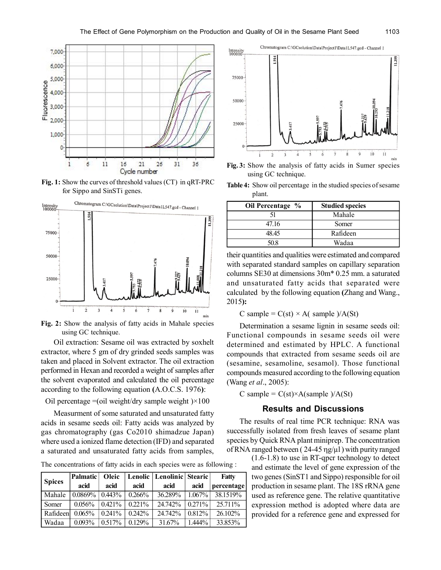

**Fig. 1:** Show the curves of threshold values (CT) in qRT-PRC for Sippo and SinSTi genes.



**Fig. 2:** Show the analysis of fatty acids in Mahale species using GC technique.

Oil extraction: Sesame oil was extracted by soxhelt extractor, where 5 gm of dry grinded seeds samples was taken and placed in Solvent extractor. The oil extraction performed in Hexan and recorded a weight of samples after the solvent evaporated and calculated the oil percentage according to the following equation **(**A.O.C.S. 1976**)**:

Oil percentage  $=$ (oil weight/dry sample weight) $\times$ 100

Measurment of some saturated and unsaturated fatty acids in sesame seeds oil: Fatty acids was analyzed by gas chromatography (gas Co2010 shimadzue Japan) where used a ionized flame detection (IFD) and separated a saturated and unsaturated fatty acids from samples,

The concentrations of fatty acids in each species were as following :

| <b>Spices</b> | <b>Palmatic</b> | Oleic     |           | Lenolic   Lenolinic   Stearic |           | Fatty      |
|---------------|-----------------|-----------|-----------|-------------------------------|-----------|------------|
|               | acid            | acid      | acid      | acid                          | acid      | percentage |
| Mahale        | 0.0869%         | 0.443%    | 0.266%    | 36.289%                       | $1.067\%$ | 38.1519%   |
| Somer         | 0.056%          | $0.421\%$ | $0.221\%$ | 24 742%                       | $0.271\%$ | 25 71 1%   |
| Rafideen      | 0.065%          | 0.241%    | 0.242%    | 24 742%                       | 0.812%    | 26.102%    |
| Wadaa         | 0.093%          | 0.517%    | 0.129%    | 31.67%                        | $1.444\%$ | 33.853%    |

Chromatogram C:\GCsolution\Data\Project1\Data1L547.gcd - Channel 1 Intensity<br>100000 75000 50000 25000  $\frac{1}{9}$  $10$  $\frac{1}{2}$  $\overline{5}$  $\ddot{6}$  $\overline{7}$  $\overline{8}$  $\overline{11}$  $\ddot{a}$ min

**Fig. 3:** Show the analysis of fatty acids in Sumer species using GC technique.

**Table 4:** Show oil percentage in the studied species of sesame plant.

| Oil Percentage % | <b>Studied species</b> |
|------------------|------------------------|
|                  | Mahale                 |
| 47 16            | Somer                  |
| 4845             | Rafideen               |
| 50.8             | Wadaa                  |

their quantities and qualities were estimated and compared with separated standard samples on capillary separation columns SE30 at dimensions 30m\* 0.25 mm. a saturated and unsaturated fatty acids that separated were calculated by the following equation **(**Zhang and Wang., 2015**):**

C sample =  $C(st) \times A$ ( sample )/A(St)

Determination a sesame lignin in sesame seeds oil: Functional compounds in sesame seeds oil were determined and estimated by HPLC. A functional compounds that extracted from sesame seeds oil are (sesamine, sesamoline, sesamol). Those functional compounds measured according to the following equation (Wang *et al*., 2005):

C sample =  $C(st) \times A(sample) / A(St)$ 

## **Results and Discussions**

The results of real time PCR technique: RNA was successfully isolated from fresh leaves of sesame plant species by Quick RNA plant miniprep. The concentration of RNA ranged between ( $24-45$  ng/ $\mu$ l) with purity ranged

> (1.6-1.8) to use in RT-qpcr technology to detect and estimate the level of gene expression of the two genes (SinST1 and Sippo) responsible for oil production in sesame plant. The 18S rRNA gene used as reference gene. The relative quantitative expression method is adopted where data are provided for a reference gene and expressed for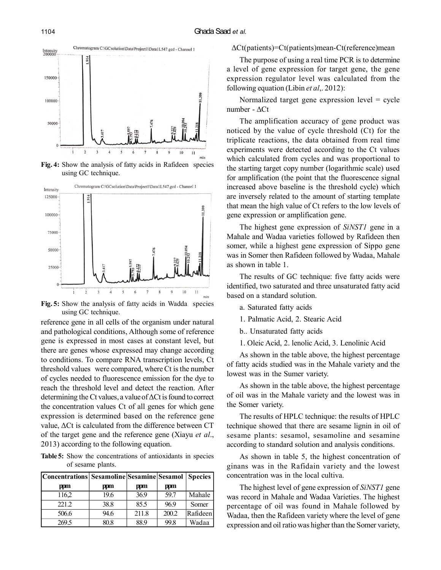

**Fig. 4:** Show the analysis of fatty acids in Rafideen species using GC technique.



**Fig. 5:** Show the analysis of fatty acids in Wadda species using GC technique.

reference gene in all cells of the organism under natural and pathological conditions, Although some of reference gene is expressed in most cases at constant level, but there are genes whose expressed may change according to conditions. To compare RNA transcription levels, Ct threshold values were compared, where Ct is the number of cycles needed to fluorescence emission for the dye to reach the threshold level and detect the reaction. After determining the Ct values, a value of ΔCt is found to correct the concentration values Ct of all genes for which gene expression is determined based on the reference gene value, ΔCt is calculated from the difference between CT of the target gene and the reference gene (Xiayu *et al*., 2013) according to the following equation.

**Table 5:** Show the concentrations of antioxidants in species of sesame plants.

| Concentrations  Sesamoline   Sesamine   Sesamol   Species |      |       |       |          |
|-----------------------------------------------------------|------|-------|-------|----------|
| ppm                                                       | ppm  | ppm   | ppm   |          |
| 116,2                                                     | 19.6 | 36.9  | 59.7  | Mahale   |
| 221.2                                                     | 38.8 | 85.5  | 96.9  | Somer    |
| 506.6                                                     | 94.6 | 211.8 | 200.2 | Rafideen |
| 269.5                                                     | 80.8 | 88.9  | 99.8  | Wadaa    |

#### ΔCt(patients)=Ct(patients)mean-Ct(reference)mean

The purpose of using a real time PCR is to determine a level of gene expression for target gene, the gene expression regulator level was calculated from the following equation (Libin *et al*,. 2012):

Normalized target gene expression level = cycle number - ΔCt

The amplification accuracy of gene product was noticed by the value of cycle threshold (Ct) for the triplicate reactions, the data obtained from real time experiments were detected according to the Ct values which calculated from cycles and was proportional to the starting target copy number (logarithmic scale) used for amplification (the point that the fluorescence signal increased above baseline is the threshold cycle) which are inversely related to the amount of starting template that mean the high value of Ct refers to the low levels of gene expression or amplification gene.

The highest gene expression of *SiNST1* gene in a Mahale and Wadaa varieties followed by Rafideen then somer, while a highest gene expression of Sippo gene was in Somer then Rafideen followed by Wadaa, Mahale as shown in table 1.

The results of GC technique: five fatty acids were identified, two saturated and three unsaturated fatty acid based on a standard solution.

- a. Saturated fatty acids
- 1. Palmatic Acid, 2. Stearic Acid
- b.. Unsaturated fatty acids
- 1. Oleic Acid, 2. lenolic Acid, 3. Lenolinic Acid

As shown in the table above, the highest percentage of fatty acids studied was in the Mahale variety and the lowest was in the Sumer variety.

As shown in the table above, the highest percentage of oil was in the Mahale variety and the lowest was in the Somer variety.

The results of HPLC technique: the results of HPLC technique showed that there are sesame lignin in oil of sesame plants: sesamol, sesamoline and sesamine according to standard solution and analysis conditions.

As shown in table 5, the highest concentration of ginans was in the Rafidain variety and the lowest concentration was in the local cultiva.

The highest level of gene expression of *SiNST1* gene was record in Mahale and Wadaa Varieties. The highest percentage of oil was found in Mahale followed by Wadaa, then the Rafideen variety where the level of gene expression and oil ratio was higher than the Somer variety,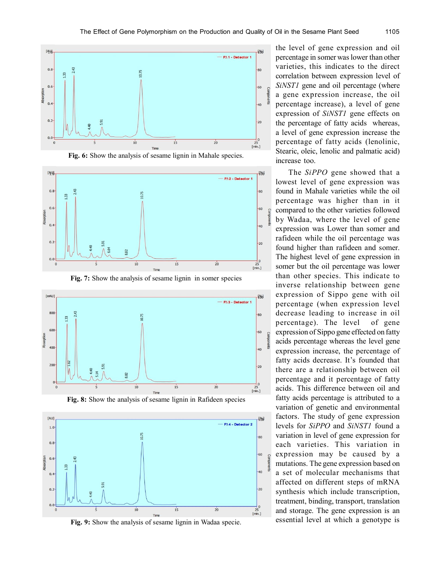













**Fig. 9:** Show the analysis of sesame lignin in Wadaa specie.

the level of gene expression and oil percentage in somer was lower than other varieties, this indicates to the direct correlation between expression level of *SiNST1* gene and oil percentage (where a gene expression increase, the oil percentage increase), a level of gene expression of *SiNST1* gene effects on the percentage of fatty acids whereas, a level of gene expression increase the percentage of fatty acids (lenolinic, Stearic, oleic, lenolic and palmatic acid) increase too.

The *SiPPO* gene showed that a lowest level of gene expression was found in Mahale varieties while the oil percentage was higher than in it compared to the other varieties followed by Wadaa, where the level of gene expression was Lower than somer and rafideen while the oil percentage was found higher than rafideen and somer. The highest level of gene expression in somer but the oil percentage was lower than other species. This indicate to inverse relationship between gene expression of Sippo gene with oil percentage (when expression level decrease leading to increase in oil percentage). The level of gene expression of Sippo gene effected on fatty acids percentage whereas the level gene expression increase, the percentage of fatty acids decrease. It's founded that there are a relationship between oil percentage and it percentage of fatty acids. This difference between oil and fatty acids percentage is attributed to a variation of genetic and environmental factors. The study of gene expression levels for *SiPPO* and *SiNST1* found a variation in level of gene expression for each varieties. This variation in expression may be caused by a mutations. The gene expression based on a set of molecular mechanisms that affected on different steps of mRNA synthesis which include transcription, treatment, binding, transport, translation and storage. The gene expression is an essential level at which a genotype is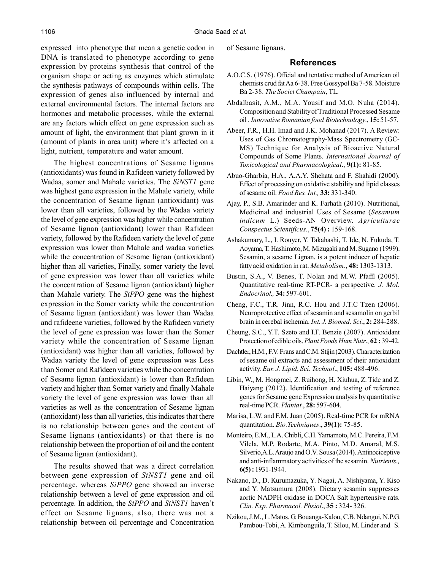expressed into phenotype that mean a genetic codon in DNA is translated to phenotype according to gene expression by proteins synthesis that control of the organism shape or acting as enzymes which stimulate the synthesis pathways of compounds within cells. The expression of genes also influenced by internal and external environmental factors. The internal factors are hormones and metabolic processes, while the external are any factors which effect on gene expression such as amount of light, the environment that plant grown in it (amount of plants in area unit) where it's affected on a light, nutrient, temperature and water amount.

The highest concentrations of Sesame lignans (antioxidants) was found in Rafideen variety followed by Wadaa, somer and Mahale varieties. The *SiNST1* gene was highest gene expression in the Mahale variety, while the concentration of Sesame lignan (antioxidant) was lower than all varieties, followed by the Wadaa variety the level of gene expression was higher while concentration of Sesame lignan (antioxidant) lower than Rafideen variety, followed by the Rafideen variety the level of gene expression was lower than Mahale and wadaa varieties while the concentration of Sesame lignan (antioxidant) higher than all varieties, Finally, somer variety the level of gene expression was lower than all varieties while the concentration of Sesame lignan (antioxidant) higher than Mahale variety. The *SiPPO* gene was the highest expression in the Somer variety while the concentration of Sesame lignan (antioxidant) was lower than Wadaa and rafideene varieties, followed by the Rafideen variety the level of gene expression was lower than the Somer variety while the concentration of Sesame lignan (antioxidant) was higher than all varieties, followed by Wadaa variety the level of gene expression was Less than Somer and Rafideen varieties while the concentration of Sesame lignan (antioxidant) is lower than Rafideen variety and higher than Somer variety and finally Mahale variety the level of gene expression was lower than all varieties as well as the concentration of Sesame lignan (antioxidant) less than all varieties, this indicates that there is no relationship between genes and the content of Sesame lignans (antioxidants) or that there is no relationship between the proportion of oil and the content of Sesame lignan (antioxidant).

The results showed that was a direct correlation between gene expression of *SiNST1* gene and oil percentage, whereas *SiPPO* gene showed an inverse relationship between a level of gene expression and oil percentage. In addition, the *SiPPO* and *SiNST1* haven't effect on Sesame lignans, also, there was not a relationship between oil percentage and Concentration of Sesame lignans.

#### **References**

- A.O.C.S. (1976). Offcial and tentative method of American oil chemists crud fat Aa 6-38. Free Gossypol Ba 7-58. Moisture Ba 2-38. *The Societ Champain*, TL.
- Abdalbasit, A.M., M.A. Yousif and M.O. Nuha (2014). Composition and Stability of Traditional Processed Sesame oil . *Innovative Romanian food Biotechnology*., **15:** 51-57.
- Abeer, F.R., H.H. Imad and J.K. Mohanad (2017). A Review: Uses of Gas Chromatography-Mass Spectrometry (GC-MS) Technique for Analysis of Bioactive Natural Compounds of Some Plants. *International Journal of Toxicological and Pharmacological*., **9(1):** 81-85.
- Abuo-Gharbia, H.A., A.A.Y. Shehata and F. Shahidi (2000). Effect of processing on oxidative stability and lipid classes of sesame oil. *Food Res. Int.,* **33:** 331-340.
- Ajay, P., S.B. Amarinder and K. Farhath (2010). Nutritional, Medicinal and industrial Uses of Sesame (*Sesamum indicum* L.) Seeds-AN Overview. *Agriculturae Conspectus Scientificus*., **75(4) :** 159-168.
- Ashakumary, L., I. Rouyer, Y. Takahashi, T. Ide, N. Fukuda, T. Aoyama, T. Hashimoto, M. Mizugaki and M. Sugano (1999). Sesamin, a sesame Lignan, is a potent inducer of hepatic fatty acid oxidation in rat. *Metabolism*., **48:** 1303-1313.
- Bustin, S.A., V. Benes, T. Nolan and M.W. Pfaffl (2005). Quantitative real-time RT-PCR- a perspective. *J. Mol. Endocrinol.,* **34:** 597-601.
- Cheng, F.C., T.R. Jinn, R.C. Hou and J.T.C Tzen (2006). Neuroprotective effect of sesamin and sesamolin on gerbil brain in cerebal ischemia. *Int. J. Biomed. Sci*., **2:** 284-288.
- Cheung, S.C., Y.T. Szeto and I.F. Benzie (2007). Antioxidant Protection of edible oils. *Plant Foods Hum Nutr*., **62 :** 39-42.
- Dachtler, H.M., F.V. Frans and C.M. Stijin (2003). Characterization of sesame oil extracts and assessment of their antioxidant activity. *Eur. J. Lipid. Sci. Technol*., **105:** 488-496.
- Libin, W., M. Hongmei, Z. Ruihong, H. Xiuhua, Z. Tide and Z. Haiyang (2012). Identification and testing of reference genes for Sesame gene Expression analysis by quantitative real-time PCR. *Plantat*., **28:** 597-604.
- Marisa, L.W. and F.M. Juan (2005). Real-time PCR for mRNA quantitation. *Bio.Techniques*., **39(1):** 75-85.
- Monteiro, E.M., L.A. Chibli, C.H. Yamamoto, M.C. Pereira, F.M. Vilela, M.P. Rodarte, M.A. Pinto, M.D. Amaral, M.S. Silverio,A.L. Araujo and O.V. Sousa (2014). Antinociceptive and anti-inflammatory activities of the sesamin. *Nutrients.,* **6(5) :** 1931-1944.
- Nakano, D., D. Kurumazuka, Y. Nagai, A. Nishiyama, Y. Kiso and Y. Matsumura (2008). Dietary sesamin suppresses aortic NADPH oxidase in DOCA Salt hypertensive rats. *Clin. Exp. Pharmacol. Phsiol*., **35 :** 324- 326.
- Nzikou, J.M., L. Matos, G. Bouanga-Kalou, C.B. Ndangui, N.P.G. Pambou-Tobi, A. Kimbonguila, T. Silou, M. Linder and S.